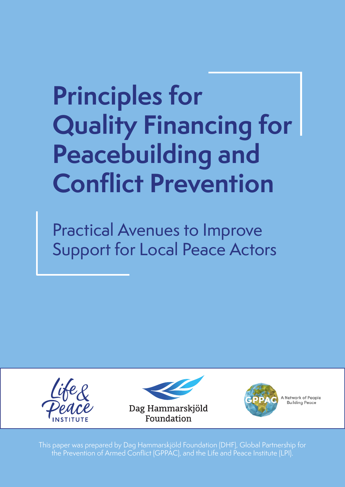# **Principles for Quality Financing for Peacebuilding and Conflict Prevention**

Practical Avenues to Improve Support for Local Peace Actors







A Network of People **Building Peace** 

This paper was prepared by Dag Hammarskjöld Foundation (DHF), Global Partnership for the Prevention of Armed Conflict (GPPAC), and the Life and Peace Institute (LPI).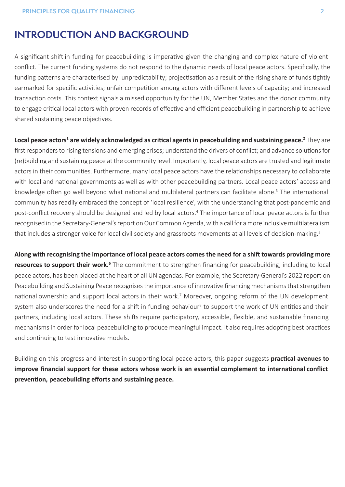# **INTRODUCTION AND BACKGROUND**

A significant shift in funding for peacebuilding is imperative given the changing and complex nature of violent conflict. The current funding systems do not respond to the dynamic needs of local peace actors. Specifically, the funding patterns are characterised by: unpredictability; projectisation as a result of the rising share of funds tightly earmarked for specific activities; unfair competition among actors with different levels of capacity; and increased transaction costs. This context signals a missed opportunity for the UN, Member States and the donor community to engage critical local actors with proven records of effective and efficient peacebuilding in partnership to achieve shared sustaining peace objectives.

**Local peace actors<sup>1</sup> are widely acknowledged as critical agents in peacebuilding and sustaining peace.<sup>2</sup> They are** first responders to rising tensions and emerging crises; understand the drivers of conflict; and advance solutions for (re)building and sustaining peace at the community level. Importantly, local peace actors are trusted and legitimate actors in their communities. Furthermore, many local peace actors have the relationships necessary to collaborate with local and national governments as well as with other peacebuilding partners. Local peace actors' access and knowledge often go well beyond what national and multilateral partners can facilitate alone.<sup>3</sup> The international community has readily embraced the concept of 'local resilience', with the understanding that post-pandemic and post-conflict recovery should be designed and led by local actors.<sup>4</sup> The importance of local peace actors is further recognised in the Secretary-General's report on Our Common Agenda, with a call for a more inclusive multilateralism that includes a stronger voice for local civil society and grassroots movements at all levels of decision-making.**<sup>5</sup>**

**Along with recognising the importance of local peace actors comes the need for a shift towards providing more resources to support their work.<sup>6</sup>** The commitment to strengthen financing for peacebuilding, including to local peace actors, has been placed at the heart of all UN agendas. For example, the Secretary-General's 2022 report on Peacebuilding and Sustaining Peace recognises the importance of innovative financing mechanisms that strengthen national ownership and support local actors in their work.<sup>7</sup> Moreover, ongoing reform of the UN development system also underscores the need for a shift in funding behaviour<sup>8</sup> to support the work of UN entities and their partners, including local actors. These shifts require participatory, accessible, flexible, and sustainable financing mechanisms in order for local peacebuilding to produce meaningful impact. It also requires adopting best practices and continuing to test innovative models.

Building on this progress and interest in supporting local peace actors, this paper suggests **practical avenues to improve financial support for these actors whose work is an essential complement to international conflict prevention, peacebuilding efforts and sustaining peace.**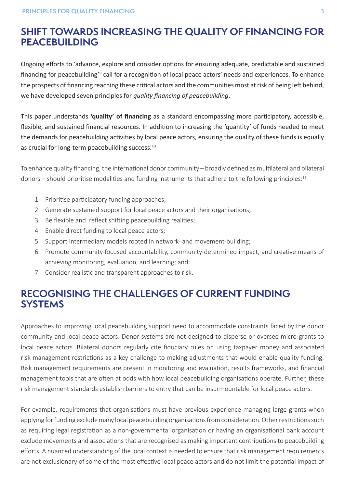# **SHIFT TOWARDS INCREASING THE QUALITY OF FINANCING FOR PEACEBUILDING**

Ongoing efforts to 'advance, explore and consider options for ensuring adequate, predictable and sustained financing for peacebuilding<sup>'9</sup> call for a recognition of local peace actors' needs and experiences. To enhance the prospects of financing reaching these critical actors and the communities most at risk of being left behind, we have developed seven principles for *quality financing of peacebuilding*.

This paper understands **'quality' of financing** as a standard encompassing more participatory, accessible, flexible, and sustained financial resources. In addition to increasing the 'quantity' of funds needed to meet the demands for peacebuilding activities by local peace actors, ensuring the quality of these funds is equally as crucial for long-term peacebuilding success.<sup>10</sup>

To enhance quality financing, the international donor community – broadly defined as multilateral and bilateral donors – should prioritise modalities and funding instruments that adhere to the following principles: $11$ 

- 1. Prioritise participatory funding approaches;
- 2. Generate sustained support for local peace actors and their organisations;
- 3. Be flexible and reflect shifting peacebuilding realities;
- 4. Enable direct funding to local peace actors;
- 5. Support intermediary models rooted in network- and movement-building;
- 6. Promote community-focused accountability, community-determined impact, and creative means of achieving monitoring, evaluation, and learning; and
- 7. Consider realistic and transparent approaches to risk.

# **RECOGNISING THE CHALLENGES OF CURRENT FUNDING SYSTEMS**

Approaches to improving local peacebuilding support need to accommodate constraints faced by the donor community and local peace actors. Donor systems are not designed to disperse or oversee micro-grants to local peace actors. Bilateral donors regularly cite fiduciary rules on using taxpayer money and associated risk management restrictions as a key challenge to making adjustments that would enable quality funding. Risk management requirements are present in monitoring and evaluation, results frameworks, and financial management tools that are often at odds with how local peacebuilding organisations operate. Further, these risk management standards establish barriers to entry that can be insurmountable for local peace actors.

For example, requirements that organisations must have previous experience managing large grants when applying for funding exclude many local peacebuilding organisations from consideration. Other restrictions such as requiring legal registration as a non-governmental organisation or having an organisational bank account exclude movements and associations that are recognised as making important contributions to peacebuilding efforts. A nuanced understanding of the local context is needed to ensure that risk management requirements are not exclusionary of some of the most effective local peace actors and do not limit the potential impact of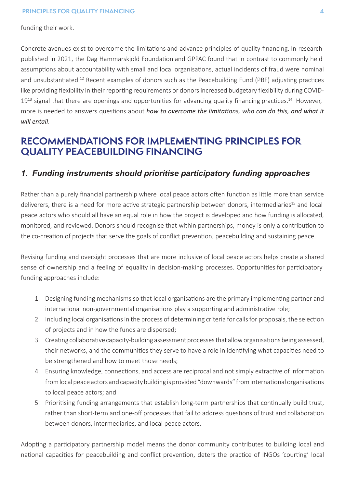funding their work.

Concrete avenues exist to overcome the limitations and advance principles of quality financing. In research published in 2021, the Dag Hammarskjöld Foundation and GPPAC found that in contrast to commonly held assumptions about accountability with small and local organisations, actual incidents of fraud were nominal and unsubstantiated.<sup>12</sup> Recent examples of donors such as the Peacebuilding Fund (PBF) adjusting practices like providing flexibility in their reporting requirements or donors increased budgetary flexibility during COVID- $19<sup>13</sup>$  signal that there are openings and opportunities for advancing quality financing practices.<sup>14</sup> However, more is needed to answers questions about *how to overcome the limitations, who can do this, and what it will entail*.

# **RECOMMENDATIONS FOR IMPLEMENTING PRINCIPLES FOR QUALITY PEACEBUILDING FINANCING**

## *1. Funding instruments should prioritise participatory funding approaches*

Rather than a purely financial partnership where local peace actors often function as little more than service deliverers, there is a need for more active strategic partnership between donors, intermediaries<sup>15</sup> and local peace actors who should all have an equal role in how the project is developed and how funding is allocated, monitored, and reviewed. Donors should recognise that within partnerships, money is only a contribution to the co-creation of projects that serve the goals of conflict prevention, peacebuilding and sustaining peace.

Revising funding and oversight processes that are more inclusive of local peace actors helps create a shared sense of ownership and a feeling of equality in decision-making processes. Opportunities for participatory funding approaches include:

- 1. Designing funding mechanisms so that local organisations are the primary implementing partner and international non-governmental organisations play a supporting and administrative role;
- 2. Including local organisations in the process of determining criteria for calls for proposals, the selection of projects and in how the funds are dispersed;
- 3. Creating collaborative capacity-building assessment processes that allow organisations being assessed, their networks, and the communities they serve to have a role in identifying what capacities need to be strengthened and how to meet those needs;
- 4. Ensuring knowledge, connections, and access are reciprocal and not simply extractive of information from local peace actors and capacity building is provided "downwards" from international organisations to local peace actors; and
- 5. Prioritising funding arrangements that establish long-term partnerships that continually build trust, rather than short-term and one-off processes that fail to address questions of trust and collaboration between donors, intermediaries, and local peace actors.

Adopting a participatory partnership model means the donor community contributes to building local and national capacities for peacebuilding and conflict prevention, deters the practice of INGOs 'courting' local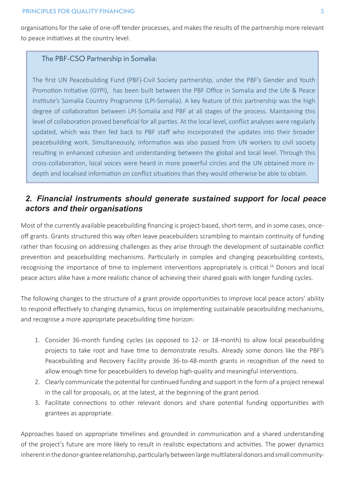organisations for the sake of one-off tender processes, and makes the results of the partnership more relevant to peace initiatives at the country level.

#### The PBF-CSO Partnership in Somalia:

The first UN Peacebuilding Fund (PBF)-Civil Society partnership, under the PBF's Gender and Youth Promotion Initiative (GYPI), has been built between the PBF Office in Somalia and the Life & Peace Institute's Somalia Country Programme (LPI-Somalia). A key feature of this partnership was the high degree of collaboration between LPI-Somalia and PBF at all stages of the process. Maintaining this level of collaboration proved beneficial for all parties. At the local level, conflict analyses were regularly updated, which was then fed back to PBF staff who incorporated the updates into their broader peacebuilding work. Simultaneously, information was also passed from UN workers to civil society resulting in enhanced cohesion and understanding between the global and local level. Through this cross-collaboration, local voices were heard in more powerful circles and the UN obtained more indepth and localised information on conflict situations than they would otherwise be able to obtain.

# *2. Financial instruments should generate sustained support for local peace actors and their organisations*

Most of the currently available peacebuilding financing is project-based, short-term, and in some cases, onceoff grants. Grants structured this way often leave peacebuilders scrambling to maintain continuity of funding rather than focusing on addressing challenges as they arise through the development of sustainable conflict prevention and peacebuilding mechanisms. Particularly in complex and changing peacebuilding contexts, recognising the importance of time to implement interventions appropriately is critical.<sup>16</sup> Donors and local peace actors alike have a more realistic chance of achieving their shared goals with longer funding cycles.

The following changes to the structure of a grant provide opportunities to improve local peace actors' ability to respond effectively to changing dynamics, focus on implementing sustainable peacebuilding mechanisms, and recognise a more appropriate peacebuilding time horizon:

- 1. Consider 36-month funding cycles (as opposed to 12- or 18-month) to allow local peacebuilding projects to take root and have time to demonstrate results. Already some donors like the PBF's Peacebuilding and Recovery Facility provide 36-to-48-month grants in recognition of the need to allow enough time for peacebuilders to develop high-quality and meaningful interventions.
- 2. Clearly communicate the potential for continued funding and support in the form of a project renewal in the call for proposals, or, at the latest, at the beginning of the grant period.
- 3. Facilitate connections to other relevant donors and share potential funding opportunities with grantees as appropriate.

Approaches based on appropriate timelines and grounded in communication and a shared understanding of the project's future are more likely to result in realistic expectations and activities. The power dynamics inherent in the donor-grantee relationship, particularly between large multilateral donors and small community-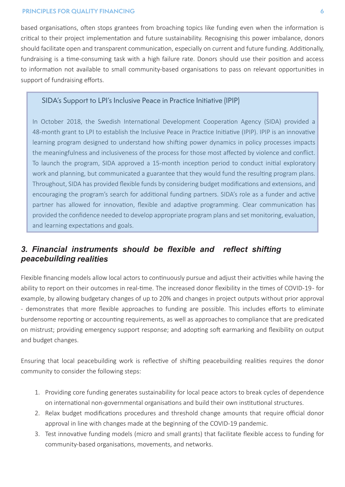#### **PRINCIPLES FOR QUALITY FINANCING 6**

based organisations, often stops grantees from broaching topics like funding even when the information is critical to their project implementation and future sustainability. Recognising this power imbalance, donors should facilitate open and transparent communication, especially on current and future funding. Additionally, fundraising is a time-consuming task with a high failure rate. Donors should use their position and access to information not available to small community-based organisations to pass on relevant opportunities in support of fundraising efforts.

#### SIDA's Support to LPI's Inclusive Peace in Practice Initiative (IPIP)

In October 2018, the Swedish International Development Cooperation Agency (SIDA) provided a 48-month grant to LPI to establish the Inclusive Peace in Practice Initiative (IPIP). IPIP is an innovative learning program designed to understand how shifting power dynamics in policy processes impacts the meaningfulness and inclusiveness of the process for those most affected by violence and conflict. To launch the program, SIDA approved a 15-month inception period to conduct initial exploratory work and planning, but communicated a guarantee that they would fund the resulting program plans. Throughout, SIDA has provided flexible funds by considering budget modifications and extensions, and encouraging the program's search for additional funding partners. SIDA's role as a funder and active partner has allowed for innovation, flexible and adaptive programming. Clear communication has provided the confidence needed to develop appropriate program plans and set monitoring, evaluation, and learning expectations and goals.

# *3. Financial instruments should be flexible and reflect shifting peacebuilding realities*

Flexible financing models allow local actors to continuously pursue and adjust their activities while having the ability to report on their outcomes in real-time. The increased donor flexibility in the times of COVID-19 - for example, by allowing budgetary changes of up to 20% and changes in project outputs without prior approval - demonstrates that more flexible approaches to funding are possible. This includes efforts to eliminate burdensome reporting or accounting requirements, as well as approaches to compliance that are predicated on mistrust; providing emergency support response; and adopting soft earmarking and flexibility on output and budget changes.

Ensuring that local peacebuilding work is reflective of shifting peacebuilding realities requires the donor community to consider the following steps:

- 1. Providing core funding generates sustainability for local peace actors to break cycles of dependence on international non-governmental organisations and build their own institutional structures.
- 2. Relax budget modifications procedures and threshold change amounts that require official donor approval in line with changes made at the beginning of the COVID-19 pandemic.
- 3. Test innovative funding models (micro and small grants) that facilitate flexible access to funding for community-based organisations, movements, and networks.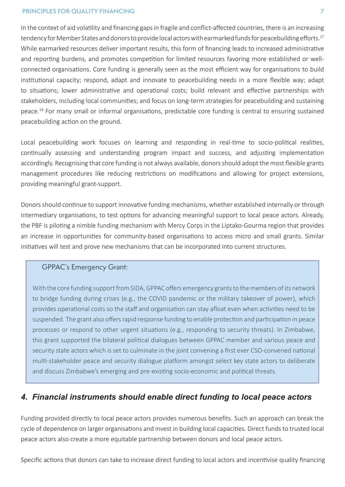#### **PRINCIPLES FOR QUALITY FINANCING 7**

In the context of aid volatility and financing gaps in fragile and conflict-affected countries, there is an increasing tendency for Member States and donors to provide local actors with earmarked funds for peacebuilding efforts.<sup>17</sup> While earmarked resources deliver important results, this form of financing leads to increased administrative and reporting burdens, and promotes competition for limited resources favoring more established or wellconnected organisations. Core funding is generally seen as the most efficient way for organisations to build institutional capacity; respond, adapt and innovate to peacebuilding needs in a more flexible way; adapt to situations; lower administrative and operational costs; build relevant and effective partnerships with stakeholders, including local communities; and focus on long-term strategies for peacebuilding and sustaining peace.<sup>18</sup> For many small or informal organisations, predictable core funding is central to ensuring sustained peacebuilding action on the ground.

Local peacebuilding work focuses on learning and responding in real-time to socio-political realities, continually assessing and understanding program impact and success, and adjusting implementation accordingly. Recognising that core funding is not always available, donors should adopt the most flexible grants management procedures like reducing restrictions on modifications and allowing for project extensions, providing meaningful grant-support.

Donors should continue to support innovative funding mechanisms, whether established internally or through intermediary organisations, to test options for advancing meaningful support to local peace actors. Already, the PBF is piloting a nimble funding mechanism with Mercy Corps in the Liptako-Gourma region that provides an increase in opportunities for community-based organisations to access micro and small grants. Similar initiatives will test and prove new mechanisms that can be incorporated into current structures.

## GPPAC's Emergency Grant:

With the core funding support from SIDA, GPPAC offers emergency grants to the members of its network to bridge funding during crises (e.g., the COVID pandemic or the military takeover of power), which provides operational costs so the staff and organisation can stay afloat even when activities need to be suspended. The grant also offers rapid response funding to enable protection and participation in peace processes or respond to other urgent situations (e.g., responding to security threats). In Zimbabwe, this grant supported the bilateral political dialogues between GPPAC member and various peace and security state actors which is set to culminate in the joint convening a first ever CSO-convened national multi-stakeholder peace and security dialogue platform amongst select key state actors to deliberate and discuss Zimbabwe's emerging and pre-existing socio-economic and political threats.

## *4. Financial instruments should enable direct funding to local peace actors*

Funding provided directly to local peace actors provides numerous benefits. Such an approach can break the cycle of dependence on larger organisations and invest in building local capacities. Direct funds to trusted local peace actors also create a more equitable partnership between donors and local peace actors.

Specific actions that donors can take to increase direct funding to local actors and incentivise quality financing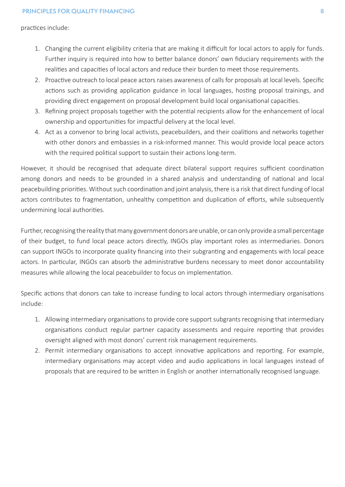practices include:

- 1. Changing the current eligibility criteria that are making it difficult for local actors to apply for funds. Further inquiry is required into how to better balance donors' own fiduciary requirements with the realities and capacities of local actors and reduce their burden to meet those requirements.
- 2. Proactive outreach to local peace actors raises awareness of calls for proposals at local levels. Specific actions such as providing application guidance in local languages, hosting proposal trainings, and providing direct engagement on proposal development build local organisational capacities.
- 3. Refining project proposals together with the potential recipients allow for the enhancement of local ownership and opportunities for impactful delivery at the local level.
- 4. Act as a convenor to bring local activists, peacebuilders, and their coalitions and networks together with other donors and embassies in a risk-informed manner. This would provide local peace actors with the required political support to sustain their actions long-term.

However, it should be recognised that adequate direct bilateral support requires sufficient coordination among donors and needs to be grounded in a shared analysis and understanding of national and local peacebuilding priorities. Without such coordination and joint analysis, there is a risk that direct funding of local actors contributes to fragmentation, unhealthy competition and duplication of efforts, while subsequently undermining local authorities.

Further, recognising the reality that many government donors are unable, or can only provide a small percentage of their budget, to fund local peace actors directly, INGOs play important roles as intermediaries. Donors can support INGOs to incorporate quality financing into their subgranting and engagements with local peace actors. In particular, INGOs can absorb the administrative burdens necessary to meet donor accountability measures while allowing the local peacebuilder to focus on implementation.

Specific actions that donors can take to increase funding to local actors through intermediary organisations include:

- 1. Allowing intermediary organisations to provide core support subgrants recognising that intermediary organisations conduct regular partner capacity assessments and require reporting that provides oversight aligned with most donors' current risk management requirements.
- 2. Permit intermediary organisations to accept innovative applications and reporting. For example, intermediary organisations may accept video and audio applications in local languages instead of proposals that are required to be written in English or another internationally recognised language.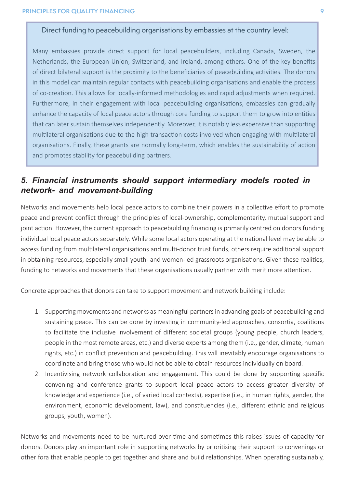## Direct funding to peacebuilding organisations by embassies at the country level:

Many embassies provide direct support for local peacebuilders, including Canada, Sweden, the Netherlands, the European Union, Switzerland, and Ireland, among others. One of the key benefits of direct bilateral support is the proximity to the beneficiaries of peacebuilding activities. The donors in this model can maintain regular contacts with peacebuilding organisations and enable the process of co-creation. This allows for locally-informed methodologies and rapid adjustments when required. Furthermore, in their engagement with local peacebuilding organisations, embassies can gradually enhance the capacity of local peace actors through core funding to support them to grow into entities that can later sustain themselves independently. Moreover, it is notably less expensive than supporting multilateral organisations due to the high transaction costs involved when engaging with multilateral organisations. Finally, these grants are normally long-term, which enables the sustainability of action and promotes stability for peacebuilding partners.

# *5. Financial instruments should support intermediary models rooted in network- and movement-building*

Networks and movements help local peace actors to combine their powers in a collective effort to promote peace and prevent conflict through the principles of local-ownership, complementarity, mutual support and joint action. However, the current approach to peacebuilding financing is primarily centred on donors funding individual local peace actors separately. While some local actors operating at the national level may be able to access funding from multilateral organisations and multi-donor trust funds, others require additional support in obtaining resources, especially small youth- and women-led grassroots organisations. Given these realities, funding to networks and movements that these organisations usually partner with merit more attention.

Concrete approaches that donors can take to support movement and network building include:

- 1. Supporting movements and networks as meaningful partners in advancing goals of peacebuilding and sustaining peace. This can be done by investing in community-led approaches, consortia, coalitions to facilitate the inclusive involvement of different societal groups (young people, church leaders, people in the most remote areas, etc.) and diverse experts among them (i.e., gender, climate, human rights, etc.) in conflict prevention and peacebuilding. This will inevitably encourage organisations to coordinate and bring those who would not be able to obtain resources individually on board.
- 2. Incentivising network collaboration and engagement. This could be done by supporting specific convening and conference grants to support local peace actors to access greater diversity of knowledge and experience (i.e., of varied local contexts), expertise (i.e., in human rights, gender, the environment, economic development, law), and constituencies (i.e., different ethnic and religious groups, youth, women).

Networks and movements need to be nurtured over time and sometimes this raises issues of capacity for donors. Donors play an important role in supporting networks by prioritising their support to convenings or other fora that enable people to get together and share and build relationships. When operating sustainably,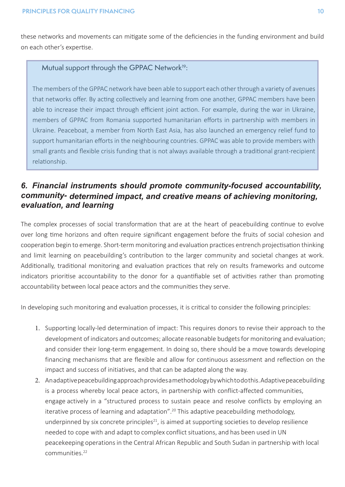these networks and movements can mitigate some of the deficiencies in the funding environment and build on each other's expertise.

## Mutual support through the GPPAC Network<sup>19</sup>:

The members of the GPPAC network have been able to support each other through a variety of avenues that networks offer. By acting collectively and learning from one another, GPPAC members have been able to increase their impact through efficient joint action. For example, during the war in Ukraine, members of GPPAC from Romania supported humanitarian efforts in partnership with members in Ukraine. Peaceboat, a member from North East Asia, has also launched an emergency relief fund to support humanitarian efforts in the neighbouring countries. GPPAC was able to provide members with small grants and flexible crisis funding that is not always available through a traditional grant-recipient relationship.

# *6. Financial instruments should promote community-focused accountability, community-determined impact, and creative means of achieving monitoring, evaluation, and learning*

The complex processes of social transformation that are at the heart of peacebuilding continue to evolve over long time horizons and often require significant engagement before the fruits of social cohesion and cooperation begin to emerge. Short-term monitoring and evaluation practices entrench projectisation thinking and limit learning on peacebuilding's contribution to the larger community and societal changes at work. Additionally, traditional monitoring and evaluation practices that rely on results frameworks and outcome indicators prioritise accountability to the donor for a quantifiable set of activities rather than promoting accountability between local peace actors and the communities they serve.

In developing such monitoring and evaluation processes, it is critical to consider the following principles:

- 1. Supporting locally-led determination of impact: This requires donors to revise their approach to the development of indicators and outcomes; allocate reasonable budgets for monitoring and evaluation; and consider their long-term engagement. In doing so, there should be a move towards developing financing mechanisms that are flexible and allow for continuous assessment and reflection on the impact and success of initiatives, and that can be adapted along the way.
- 2. An adaptive peacebuilding approach provides a methodology by which to do this. Adaptive peacebuilding is a process whereby local peace actors, in partnership with conflict-affected communities, engage actively in a "structured process to sustain peace and resolve conflicts by employing an iterative process of learning and adaptation".<sup>20</sup> This adaptive peacebuilding methodology, underpinned by six concrete principles $21$ , is aimed at supporting societies to develop resilience needed to cope with and adapt to complex conflict situations, and has been used in UN peacekeeping operations in the Central African Republic and South Sudan in partnership with local communities.22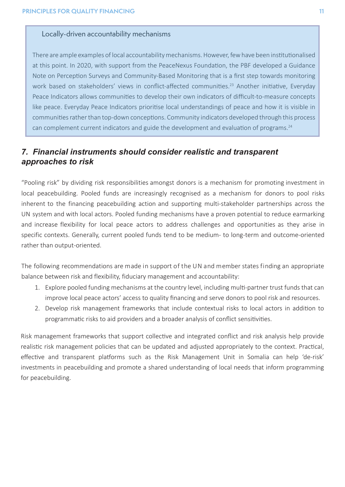#### Locally-driven accountability mechanisms

There are ample examples of local accountability mechanisms. However, few have been institutionalised at this point. In 2020, with support from the PeaceNexus Foundation, the PBF developed a Guidance Note on Perception Surveys and Community-Based Monitoring that is a first step towards monitoring work based on stakeholders' views in conflict-affected communities.<sup>23</sup> Another initiative, Everyday Peace Indicators allows communities to develop their own indicators of difficult-to-measure concepts like peace. Everyday Peace Indicators prioritise local understandings of peace and how it is visible in communities rather than top-down conceptions. Community indicators developed through this process can complement current indicators and guide the development and evaluation of programs.<sup>24</sup>

## *7. Financial instruments should consider realistic and transparent approaches to risk*

"Pooling risk" by dividing risk responsibilities amongst donors is a mechanism for promoting investment in local peacebuilding. Pooled funds are increasingly recognised as a mechanism for donors to pool risks inherent to the financing peacebuilding action and supporting multi-stakeholder partnerships across the UN system and with local actors. Pooled funding mechanisms have a proven potential to reduce earmarking and increase flexibility for local peace actors to address challenges and opportunities as they arise in specific contexts. Generally, current pooled funds tend to be medium- to long-term and outcome-oriented rather than output-oriented.

The following recommendations are made in support of the UN and member states finding an appropriate balance between risk and flexibility, fiduciary management and accountability:

- 1. Explore pooled funding mechanisms at the country level, including multi-partner trust funds that can improve local peace actors' access to quality financing and serve donors to pool risk and resources.
- 2. Develop risk management frameworks that include contextual risks to local actors in addition to programmatic risks to aid providers and a broader analysis of conflict sensitivities.

Risk management frameworks that support collective and integrated conflict and risk analysis help provide realistic risk management policies that can be updated and adjusted appropriately to the context. Practical, effective and transparent platforms such as the Risk Management Unit in Somalia can help 'de-risk' investments in peacebuilding and promote a shared understanding of local needs that inform programming for peacebuilding.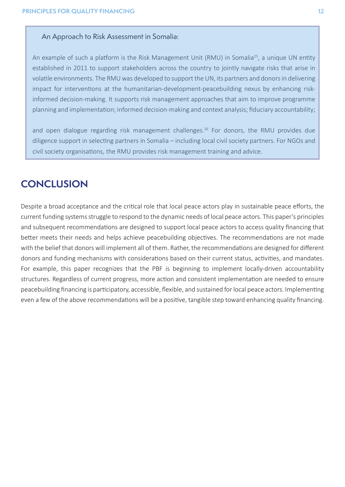#### An Approach to Risk Assessment in Somalia:

An example of such a platform is the Risk Management Unit (RMU) in Somalia<sup>25</sup>, a unique UN entity established in 2011 to support stakeholders across the country to jointly navigate risks that arise in volatile environments. The RMU was developed to support the UN, its partners and donors in delivering impact for interventions at the humanitarian-development-peacebuilding nexus by enhancing riskinformed decision-making. It supports risk management approaches that aim to improve programme planning and implementation; informed decision-making and context analysis; fiduciary accountability;

and open dialogue regarding risk management challenges.<sup>26</sup> For donors, the RMU provides due diligence support in selecting partners in Somalia – including local civil society partners. For NGOs and civil society organisations, the RMU provides risk management training and advice.

# **CONCLUSION**

Despite a broad acceptance and the critical role that local peace actors play in sustainable peace efforts, the current funding systems struggle to respond to the dynamic needs of local peace actors. This paper's principles and subsequent recommendations are designed to support local peace actors to access quality financing that better meets their needs and helps achieve peacebuilding objectives. The recommendations are not made with the belief that donors will implement all of them. Rather, the recommendations are designed for different donors and funding mechanisms with considerations based on their current status, activities, and mandates. For example, this paper recognizes that the PBF is beginning to implement locally-driven accountability structures. Regardless of current progress, more action and consistent implementation are needed to ensure peacebuilding financing is participatory, accessible, flexible, and sustained for local peace actors. Implementing even a few of the above recommendations will be a positive, tangible step toward enhancing quality financing.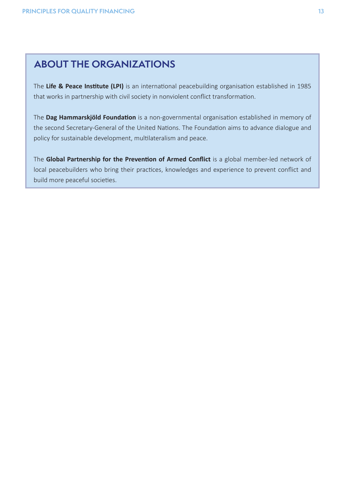# **ABOUT THE ORGANIZATIONS**

The **Life & Peace Institute (LPI)** is an international peacebuilding organisation established in 1985 that works in partnership with civil society in nonviolent conflict transformation.

The **Dag Hammarskjöld Foundation** is a non-governmental organisation established in memory of the second Secretary-General of the United Nations. The Foundation aims to advance dialogue and policy for sustainable development, multilateralism and peace.

The **Global Partnership for the Prevention of Armed Conflict** is a global member-led network of local peacebuilders who bring their practices, knowledges and experience to prevent conflict and build more peaceful societies.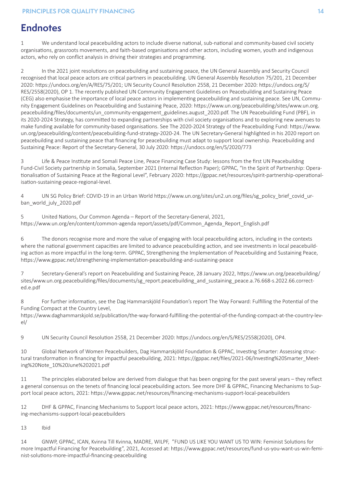# **Endnotes**

1 We understand local peacebuilding actors to include diverse national, sub-national and community-based civil society organisations, grassroots movements, and faith-based organisations and other actors, including women, youth and indigenous actors, who rely on conflict analysis in driving their strategies and programming.

2 In the 2021 joint resolutions on peacebuilding and sustaining peace, the UN General Assembly and Security Council recognised that local peace actors are critical partners in peacebuilding. UN General Assembly Resolution 75/201, 21 December 2020: https://undocs.org/en/A/RES/75/201; UN Security Council Resolution 2558, 21 December 2020: https://undocs.org/S/ RES/2558(2020), OP 1. The recently published UN Community Engagement Guidelines on Peacebuilding and Sustaining Peace (CEG) also emphasise the importance of local peace actors in implementing peacebuilding and sustaining peace. See UN, Community Engagement Guidelines on Peacebuilding and Sustaining Peace, 2020: https://www.un.org/peacebuilding/sites/www.un.org. peacebuilding/files/documents/un\_community-engagement\_guidelines.august\_2020.pdf. The UN Peacebuilding Fund (PBF), in its 2020-2024 Strategy, has committed to expanding partnerships with civil society organisations and to exploring new avenues to make funding available for community-based organisations. See The 2020-2024 Strategy of the Peacebuilding Fund: https://www. un.org/peacebuilding/content/peacebuilding-fund-strategy-2020-24. The UN Secretary-General highlighted in his 2020 report on peacebuilding and sustaining peace that financing for peacebuilding must adapt to support local ownership. Peacebuilding and Sustaining Peace: Report of the Secretary-General, 30 July 2020: https://undocs.org/en/S/2020/773

3 Life & Peace Institute and Somali Peace Line, Peace Financing Case Study: lessons from the first UN Peacebuilding Fund-Civil Society partnership in Somalia, September 2021 (Internal Reflection Paper); GPPAC, "In the Spirit of Partnership: Operationalisation of Sustaining Peace at the Regional Level", February 2020: https://gppac.net/resources/spirit-partnership-operationalisation-sustaining-peace-regional-level.

4 UN SG Policy Brief: COVID-19 in an Urban World https://www.un.org/sites/un2.un.org/files/sg\_policy\_brief\_covid\_urban\_world\_july\_2020.pdf

5 United Nations, Our Common Agenda – Report of the Secretary-General, 2021, https://www.un.org/en/content/common-agenda report/assets/pdf/Common\_Agenda\_Report\_English.pdf

6 The donors recognise more and more the value of engaging with local peacebuilding actors, including in the contexts where the national government capacities are limited to advance peacebuilding action, and see investments in local peacebuilding action as more impactful in the long-term. GPPAC, Strengthening the Implementation of Peacebuilding and Sustaining Peace, https://www.gppac.net/strengthening-implementation-peacebuilding-and-sustaining-peace

7 Secretary-General's report on Peacebuilding and Sustaining Peace, 28 January 2022, https://www.un.org/peacebuilding/ sites/www.un.org.peacebuilding/files/documents/sg\_report.peacebuilding\_and\_sustaining\_peace.a.76.668-s.2022.66.corrected.e.pdf

8 For further information, see the Dag Hammarskjöld Foundation's report The Way Forward: Fulfilling the Potential of the Funding Compact at the Country Level,

https://www.daghammarskjold.se/publication/the-way-forward-fulfilling-the-potential-of-the-funding-compact-at-the-country-level/

9 UN Security Council Resolution 2558, 21 December 2020: https://undocs.org/en/S/RES/2558(2020), OP4.

10 Global Network of Women Peacebuilders, Dag Hammarskjöld Foundation & GPPAC, Investing Smarter: Assessing structural transformation in financing for impactful peacebuilding, 2021: https://gppac.net/files/2021-06/Investing%20Smarter\_Meeting%20Note\_10%20June%202021.pdf

11 The principles elaborated below are derived from dialogue that has been ongoing for the past several years – they reflect a general consensus on the tenets of financing local peacebuilding actors. See more DHF & GPPAC, Financing Mechanisms to Support local peace actors, 2021: https://www.gppac.net/resources/financing-mechanisms-support-local-peacebuilders

12 DHF & GPPAC, Financing Mechanisms to Support local peace actors, 2021: https://www.gppac.net/resources/financing-mechanisms-support-local-peacebuilders

13 Ibid

14 GNWP, GPPAC, ICAN, Kvinna Till Kvinna, MADRE, WILPF, "FUND US LIKE YOU WANT US TO WIN: Feminist Solutions for more Impactful Financing for Peacebuilding", 2021, Accessed at: https://www.gppac.net/resources/fund-us-you-want-us-win-feminist-solutions-more-impactful-financing-peacebuilding